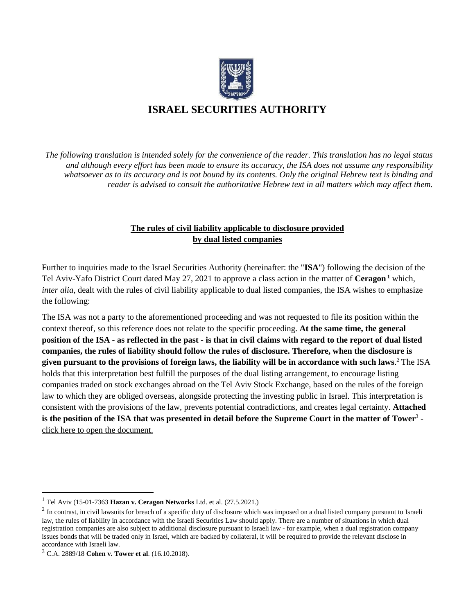

## **ISRAEL SECURITIES AUTHORITY**

*The following translation is intended solely for the convenience of the reader. This translation has no legal status and although every effort has been made to ensure its accuracy, the ISA does not assume any responsibility whatsoever as to its accuracy and is not bound by its contents. Only the original Hebrew text is binding and reader is advised to consult the authoritative Hebrew text in all matters which may affect them.*

## **The rules of civil liability applicable to disclosure provided by dual listed companies**

Further to inquiries made to the Israel Securities Authority (hereinafter: the "**ISA**") following the decision of the Tel Aviv-Yafo District Court dated May 27, 2021 to approve a class action in the matter of **Ceragon <sup>1</sup>** which, *inter alia*, dealt with the rules of civil liability applicable to dual listed companies, the ISA wishes to emphasize the following:

The ISA was not a party to the aforementioned proceeding and was not requested to file its position within the context thereof, so this reference does not relate to the specific proceeding. **At the same time, the general position of the ISA - as reflected in the past - is that in civil claims with regard to the report of dual listed companies, the rules of liability should follow the rules of disclosure. Therefore, when the disclosure is given pursuant to the provisions of foreign laws, the liability will be in accordance with such laws**. <sup>2</sup> The ISA holds that this interpretation best fulfill the purposes of the dual listing arrangement, to encourage listing companies traded on stock exchanges abroad on the Tel Aviv Stock Exchange, based on the rules of the foreign law to which they are obliged overseas, alongside protecting the investing public in Israel. This interpretation is consistent with the provisions of the law, prevents potential contradictions, and creates legal certainty. **Attached is the position of the ISA that was presented in detail before the Supreme Court in the matter of Tower**<sup>3</sup> click here to open the document.

 $\overline{\phantom{a}}$ 

<sup>1</sup> Tel Aviv (15-01-7363 **Hazan v. Ceragon Networks** Ltd. et al. (27.5.2021.)

 $2 \text{ In contrast, in civil lawsuits for breach of a specific duty of disclosure which was imposed on a dual listed company pursuit to Israel in the image.}$ law, the rules of liability in accordance with the Israeli Securities Law should apply. There are a number of situations in which dual registration companies are also subject to additional disclosure pursuant to Israeli law - for example, when a dual registration company issues bonds that will be traded only in Israel, which are backed by collateral, it will be required to provide the relevant disclose in accordance with Israeli law.

<sup>3</sup> C.A. 2889/18 **Cohen v. Tower et al**. (16.10.2018).